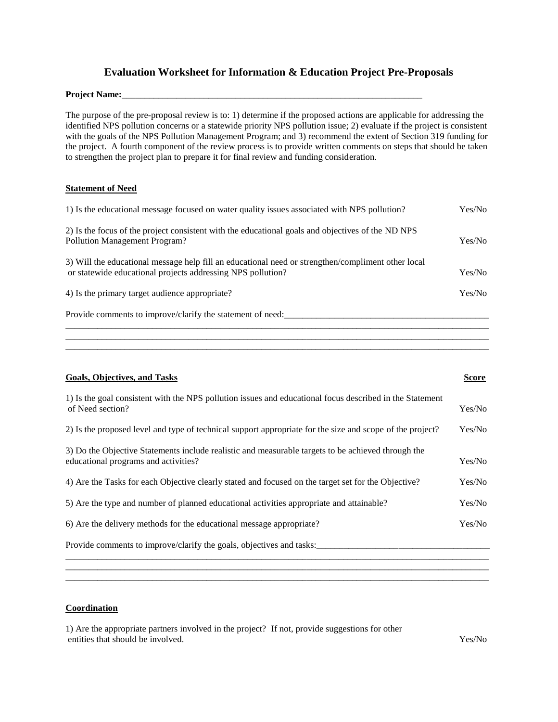# **Evaluation Worksheet for Information & Education Project Pre-Proposals**

#### Project Name:

The purpose of the pre-proposal review is to: 1) determine if the proposed actions are applicable for addressing the identified NPS pollution concerns or a statewide priority NPS pollution issue; 2) evaluate if the project is consistent with the goals of the NPS Pollution Management Program; and 3) recommend the extent of Section 319 funding for the project. A fourth component of the review process is to provide written comments on steps that should be taken to strengthen the project plan to prepare it for final review and funding consideration.

### **Statement of Need**

| 1) Is the educational message focused on water quality issues associated with NPS pollution?                                                                      | Yes/No |
|-------------------------------------------------------------------------------------------------------------------------------------------------------------------|--------|
| 2) Is the focus of the project consistent with the educational goals and objectives of the ND NPS<br>Pollution Management Program?                                | Yes/No |
| 3) Will the educational message help fill an educational need or strengthen/compliment other local<br>or statewide educational projects addressing NPS pollution? | Yes/No |
| 4) Is the primary target audience appropriate?                                                                                                                    | Yes/No |
| Provide comments to improve/clarify the statement of need:                                                                                                        |        |
|                                                                                                                                                                   |        |
|                                                                                                                                                                   |        |

| <b>Score</b> |
|--------------|
| Yes/No       |
| Yes/No       |
| Yes/No       |
| Yes/No       |
| Yes/No       |
| Yes/No       |
|              |
|              |
|              |

#### **Coordination**

1) Are the appropriate partners involved in the project? If not, provide suggestions for other entities that should be involved. Yes/No